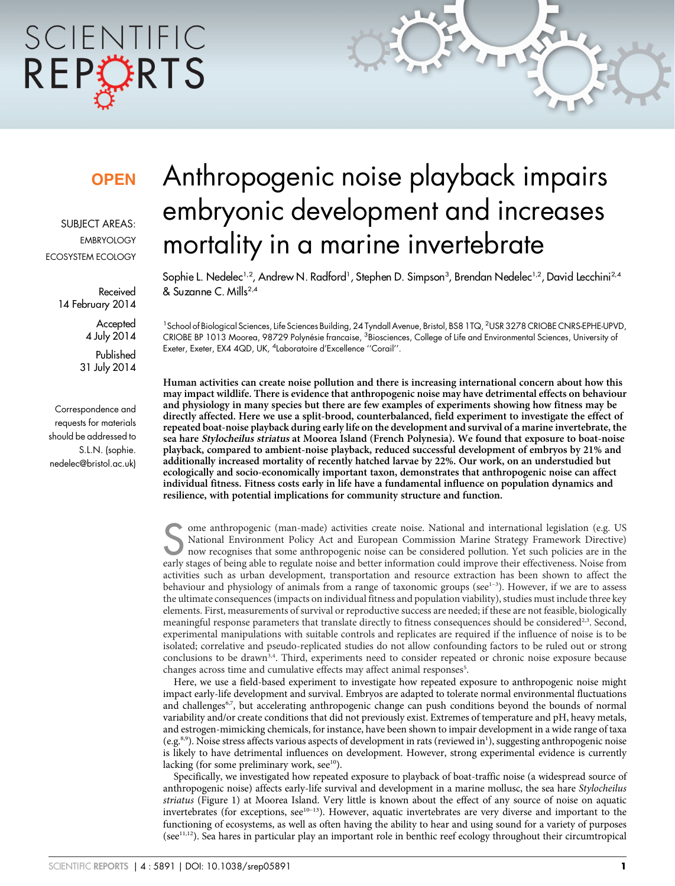# SCIENTIFIC REPCRTS

### **OPEN**

SUBJECT AREAS: EMBRYOLOGY ECOSYSTEM ECOLOGY

> Received 14 February 2014

> > **Accepted** 4 July 2014

Published 31 July 2014

Correspondence and requests for materials should be addressed to S.L.N. (sophie. nedelec@bristol.ac.uk)

## Anthropogenic noise playback impairs embryonic development and increases mortality in a marine invertebrate

Sophie L. Nedelec<sup>1,2</sup>, Andrew N. Radłord', Stephen D. Simpson<sup>3</sup>, Brendan Nedelec<sup>1,2</sup>, David Lecchini<sup>2,4</sup> & Suzanne C. Mills2,4

<sup>1</sup> School of Biological Sciences, Life Sciences Building, 24 Tyndall Avenue, Bristol, BS8 1TQ, <sup>2</sup>USR 3278 CRIOBE CNRS-EPHE-UPVD, CRIOBE BP 1013 Moorea, 98729 Polynésie francaise, <sup>3</sup>Biosciences, College of Life and Environmental Sciences, University of Exeter, Exeter, EX4 4QD, UK, <sup>4</sup>Laboratoire d'Excellence "Corail".

Human activities can create noise pollution and there is increasing international concern about how this may impact wildlife. There is evidence that anthropogenic noise may have detrimental effects on behaviour and physiology in many species but there are few examples of experiments showing how fitness may be directly affected. Here we use a split-brood, counterbalanced, field experiment to investigate the effect of repeated boat-noise playback during early life on the development and survival of a marine invertebrate, the sea hare Stylocheilus striatus at Moorea Island (French Polynesia). We found that exposure to boat-noise playback, compared to ambient-noise playback, reduced successful development of embryos by 21% and additionally increased mortality of recently hatched larvae by 22%. Our work, on an understudied but ecologically and socio-economically important taxon, demonstrates that anthropogenic noise can affect individual fitness. Fitness costs early in life have a fundamental influence on population dynamics and resilience, with potential implications for community structure and function.

Some anthropogenic (man-made) activities create noise. National and international legislation (e.g. US<br>National Environment Policy Act and European Commission Marine Strategy Framework Directive)<br>now recognises that some a National Environment Policy Act and European Commission Marine Strategy Framework Directive) now recognises that some anthropogenic noise can be considered pollution. Yet such policies are in the early stages of being able to regulate noise and better information could improve their effectiveness. Noise from activities such as urban development, transportation and resource extraction has been shown to affect the behaviour and physiology of animals from a range of taxonomic groups (see $1-3$ ). However, if we are to assess the ultimate consequences (impacts on individual fitness and population viability), studies must include three key elements. First, measurements of survival or reproductive success are needed; if these are not feasible, biologically meaningful response parameters that translate directly to fitness consequences should be considered<sup>2,3</sup>. Second, experimental manipulations with suitable controls and replicates are required if the influence of noise is to be isolated; correlative and pseudo-replicated studies do not allow confounding factors to be ruled out or strong conclusions to be drawn<sup>3,4</sup>. Third, experiments need to consider repeated or chronic noise exposure because changes across time and cumulative effects may affect animal responses<sup>5</sup>.

Here, we use a field-based experiment to investigate how repeated exposure to anthropogenic noise might impact early-life development and survival. Embryos are adapted to tolerate normal environmental fluctuations and challenges<sup>6,7</sup>, but accelerating anthropogenic change can push conditions beyond the bounds of normal variability and/or create conditions that did not previously exist. Extremes of temperature and pH, heavy metals, and estrogen-mimicking chemicals, for instance, have been shown to impair development in a wide range of taxa (e.g.<sup>8,9</sup>). Noise stress affects various aspects of development in rats (reviewed in<sup>1</sup>), suggesting anthropogenic noise is likely to have detrimental influences on development. However, strong experimental evidence is currently lacking (for some preliminary work,  $\sec^{10}$ ).

Specifically, we investigated how repeated exposure to playback of boat-traffic noise (a widespread source of anthropogenic noise) affects early-life survival and development in a marine mollusc, the sea hare Stylocheilus striatus (Figure 1) at Moorea Island. Very little is known about the effect of any source of noise on aquatic invertebrates (for exceptions, see10–13). However, aquatic invertebrates are very diverse and important to the functioning of ecosystems, as well as often having the ability to hear and using sound for a variety of purposes (see11,12). Sea hares in particular play an important role in benthic reef ecology throughout their circumtropical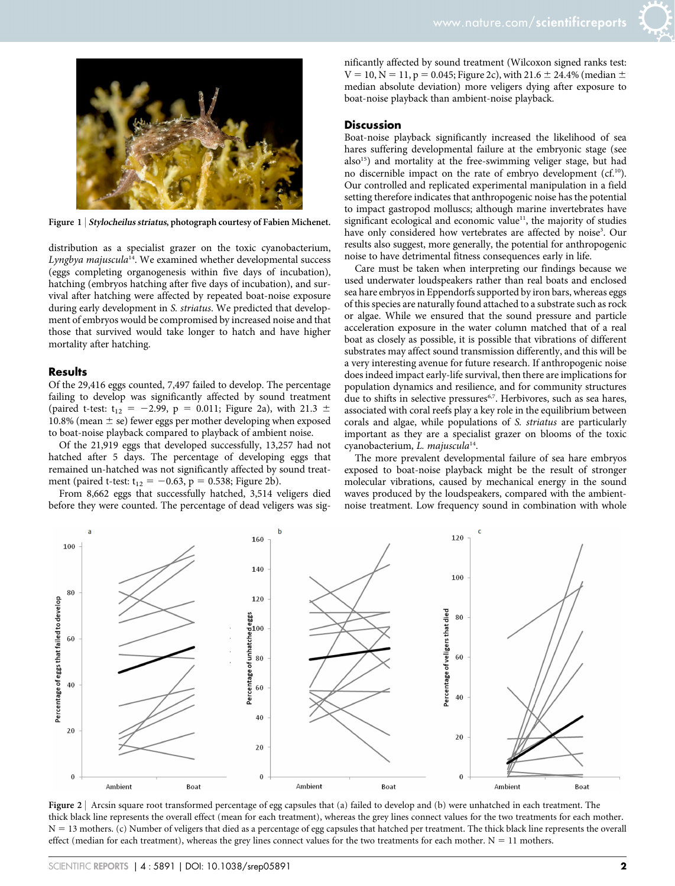

Figure 1 | Stylocheilus striatus, photograph courtesy of Fabien Michenet.

distribution as a specialist grazer on the toxic cyanobacterium, Lyngbya majuscula $14$ . We examined whether developmental success (eggs completing organogenesis within five days of incubation), hatching (embryos hatching after five days of incubation), and survival after hatching were affected by repeated boat-noise exposure during early development in S. striatus. We predicted that development of embryos would be compromised by increased noise and that those that survived would take longer to hatch and have higher mortality after hatching.

#### **Results**

Of the 29,416 eggs counted, 7,497 failed to develop. The percentage failing to develop was significantly affected by sound treatment (paired t-test:  $t_{12} = -2.99$ ,  $p = 0.011$ ; Figure 2a), with 21.3  $\pm$ 10.8% (mean  $\pm$  se) fewer eggs per mother developing when exposed to boat-noise playback compared to playback of ambient noise.

Of the 21,919 eggs that developed successfully, 13,257 had not hatched after 5 days. The percentage of developing eggs that remained un-hatched was not significantly affected by sound treatment (paired t-test:  $t_{12} = -0.63$ , p = 0.538; Figure 2b).

From 8,662 eggs that successfully hatched, 3,514 veligers died before they were counted. The percentage of dead veligers was significantly affected by sound treatment (Wilcoxon signed ranks test:  $V = 10$ ,  $N = 11$ ,  $p = 0.045$ ; Figure 2c), with 21.6  $\pm$  24.4% (median  $\pm$ median absolute deviation) more veligers dying after exposure to boat-noise playback than ambient-noise playback.

#### **Discussion**

Boat-noise playback significantly increased the likelihood of sea hares suffering developmental failure at the embryonic stage (see  $also<sup>15</sup>$  and mortality at the free-swimming veliger stage, but had no discernible impact on the rate of embryo development  $(cf<sup>10</sup>)$ . Our controlled and replicated experimental manipulation in a field setting therefore indicates that anthropogenic noise has the potential to impact gastropod molluscs; although marine invertebrates have significant ecological and economic value<sup>11</sup>, the majority of studies have only considered how vertebrates are affected by noise<sup>3</sup>. Our results also suggest, more generally, the potential for anthropogenic noise to have detrimental fitness consequences early in life.

Care must be taken when interpreting our findings because we used underwater loudspeakers rather than real boats and enclosed sea hare embryos in Eppendorfs supported by iron bars, whereas eggs of this species are naturally found attached to a substrate such as rock or algae. While we ensured that the sound pressure and particle acceleration exposure in the water column matched that of a real boat as closely as possible, it is possible that vibrations of different substrates may affect sound transmission differently, and this will be a very interesting avenue for future research. If anthropogenic noise does indeed impact early-life survival, then there are implications for population dynamics and resilience, and for community structures due to shifts in selective pressures<sup>6,7</sup>. Herbivores, such as sea hares, associated with coral reefs play a key role in the equilibrium between corals and algae, while populations of S. striatus are particularly important as they are a specialist grazer on blooms of the toxic cyanobacterium, L. majuscula<sup>14</sup>.

The more prevalent developmental failure of sea hare embryos exposed to boat-noise playback might be the result of stronger molecular vibrations, caused by mechanical energy in the sound waves produced by the loudspeakers, compared with the ambientnoise treatment. Low frequency sound in combination with whole



Figure 2 | Arcsin square root transformed percentage of egg capsules that (a) failed to develop and (b) were unhatched in each treatment. The thick black line represents the overall effect (mean for each treatment), whereas the grey lines connect values for the two treatments for each mother. N = 13 mothers. (c) Number of veligers that died as a percentage of egg capsules that hatched per treatment. The thick black line represents the overall effect (median for each treatment), whereas the grey lines connect values for the two treatments for each mother.  $N = 11$  mothers.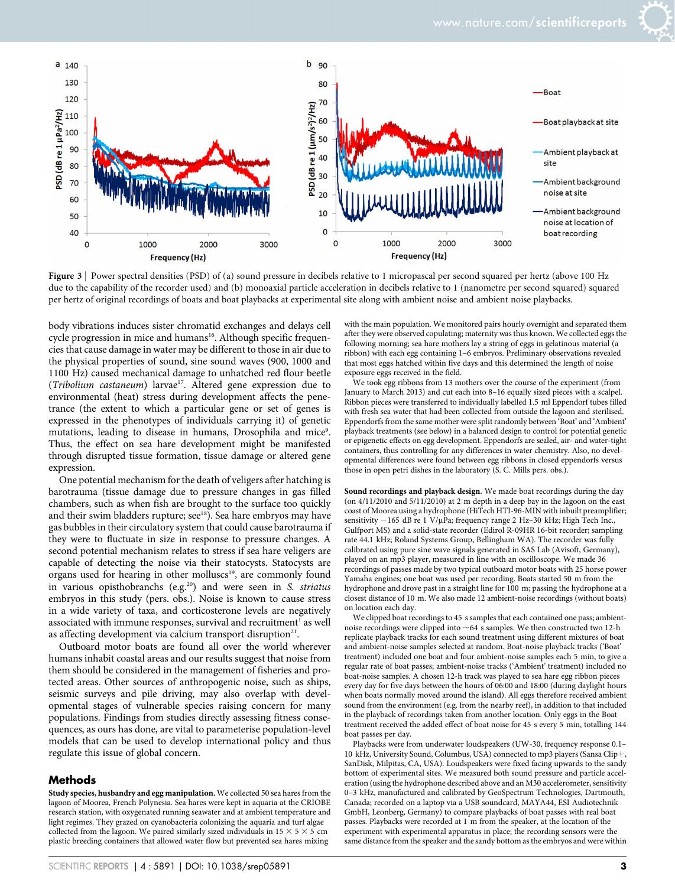

Figure 3 | Power spectral densities (PSD) of (a) sound pressure in decibels relative to 1 micropascal per second squared per hertz (above 100 Hz due to the capability of the recorder used) and (b) monoaxial particle acceleration in decibels relative to 1 (nanometre per second squared) squared per hertz of original recordings of boats and boat playbacks at experimental site along with ambient noise and ambient noise playbacks.

body vibrations induces sister chromatid exchanges and delays cell cycle progression in mice and humans<sup>16</sup>. Although specific frequencies that cause damage in water may be different to those in air due to the physical properties of sound, sine sound waves (900, 1000 and 1100 Hz) caused mechanical damage to unhatched red flour beetle (Tribolium castaneum) larvae<sup>17</sup>. Altered gene expression due to environmental (heat) stress during development affects the penetrance (the extent to which a particular gene or set of genes is expressed in the phenotypes of individuals carrying it) of genetic mutations, leading to disease in humans, Drosophila and mice<sup>9</sup>. Thus, the effect on sea hare development might be manifested through disrupted tissue formation, tissue damage or altered gene expression.

One potential mechanism for the death of veligers after hatching is barotrauma (tissue damage due to pressure changes in gas filled chambers, such as when fish are brought to the surface too quickly and their swim bladders rupture; see<sup>18</sup>). Sea hare embryos may have gas bubbles in their circulatory system that could cause barotrauma if they were to fluctuate in size in response to pressure changes. A second potential mechanism relates to stress if sea hare veligers are capable of detecting the noise via their statocysts. Statocysts are organs used for hearing in other molluscs<sup>19</sup>, are commonly found in various opisthobranchs (e.g.<sup>20</sup>) and were seen in S. striatus embryos in this study (pers. obs.). Noise is known to cause stress in a wide variety of taxa, and corticosterone levels are negatively associated with immune responses, survival and recruitment<sup>1</sup> as well as affecting development via calcium transport disruption<sup>21</sup>.

Outboard motor boats are found all over the world wherever humans inhabit coastal areas and our results suggest that noise from them should be considered in the management of fisheries and protected areas. Other sources of anthropogenic noise, such as ships, seismic surveys and pile driving, may also overlap with developmental stages of vulnerable species raising concern for many populations. Findings from studies directly assessing fitness consequences, as ours has done, are vital to parameterise population-level models that can be used to develop international policy and thus regulate this issue of global concern.

#### Methods

Study species, husbandry and egg manipulation. We collected 50 sea hares from the lagoon of Moorea, French Polynesia. Sea hares were kept in aquaria at the CRIOBE research station, with oxygenated running seawater and at ambient temperature and light regimes. They grazed on cyanobacteria colonizing the aquaria and turf algae collected from the lagoon. We paired similarly sized individuals in  $15 \times 5 \times 5$  cm plastic breeding containers that allowed water flow but prevented sea hares mixing

with the main population. We monitored pairs hourly overnight and separated them after they were observed copulating; maternity was thus known. We collected eggs the following morning; sea hare mothers lay a string of eggs in gelatinous material (a ribbon) with each egg containing 1–6 embryos. Preliminary observations revealed that most eggs hatched within five days and this determined the length of noise exposure eggs received in the field.

We took egg ribbons from 13 mothers over the course of the experiment (from January to March 2013) and cut each into 8–16 equally sized pieces with a scalpel. Ribbon pieces were transferred to individually labelled 1.5 ml Eppendorf tubes filled with fresh sea water that had been collected from outside the lagoon and sterilised. Eppendorfs from the same mother were split randomly between 'Boat' and 'Ambient' playback treatments (see below) in a balanced design to control for potential genetic or epigenetic effects on egg development. Eppendorfs are sealed, air- and water-tight containers, thus controlling for any differences in water chemistry. Also, no developmental differences were found between egg ribbons in closed eppendorfs versus those in open petri dishes in the laboratory (S. C. Mills pers. obs.).

Sound recordings and playback design. We made boat recordings during the day (on 4/11/2010 and 5/11/2010) at 2 m depth in a deep bay in the lagoon on the east coast of Moorea using a hydrophone (HiTech HTI-96-MIN with inbuilt preamplifier; sensitivity -165 dB re 1 V/µPa; frequency range 2 Hz-30 kHz; High Tech Inc., Gulfport MS) and a solid-state recorder (Edirol R-09HR 16-bit recorder; sampling rate 44.1 kHz; Roland Systems Group, Bellingham WA). The recorder was fully calibrated using pure sine wave signals generated in SAS Lab (Avisoft, Germany), played on an mp3 player, measured in line with an oscilloscope. We made 36 recordings of passes made by two typical outboard motor boats with 25 horse power Yamaha engines; one boat was used per recording. Boats started 50 m from the hydrophone and drove past in a straight line for 100 m; passing the hydrophone at a closest distance of 10 m. We also made 12 ambient-noise recordings (without boats) on location each day.

We clipped boat recordings to 45 s samples that each contained one pass; ambientnoise recordings were clipped into  $~64$  s samples. We then constructed two 12-h replicate playback tracks for each sound treatment using different mixtures of boat and ambient-noise samples selected at random. Boat-noise playback tracks ('Boat' treatment) included one boat and four ambient-noise samples each 5 min, to give a regular rate of boat passes; ambient-noise tracks ('Ambient' treatment) included no boat-noise samples. A chosen 12-h track was played to sea hare egg ribbon pieces every day for five days between the hours of 06:00 and 18:00 (during daylight hours when boats normally moved around the island). All eggs therefore received ambient sound from the environment (e.g. from the nearby reef), in addition to that included in the playback of recordings taken from another location. Only eggs in the Boat treatment received the added effect of boat noise for 45 s every 5 min, totalling 144 boat passes per day.

Playbacks were from underwater loudspeakers (UW-30, frequency response 0.1– 10 kHz, University Sound, Columbus, USA) connected to mp3 players (Sansa Clip+, SanDisk, Milpitas, CA, USA). Loudspeakers were fixed facing upwards to the sandy bottom of experimental sites. We measured both sound pressure and particle acceleration (using the hydrophone described above and an M30 accelerometer, sensitivity 0–3 kHz, manufactured and calibrated by GeoSpectrum Technologies, Dartmouth, Canada; recorded on a laptop via a USB soundcard, MAYA44, ESI Audiotechnik GmbH, Leonberg, Germany) to compare playbacks of boat passes with real boat passes. Playbacks were recorded at 1 m from the speaker, at the location of the experiment with experimental apparatus in place; the recording sensors were the same distance from the speaker and the sandy bottom as the embryos and were within